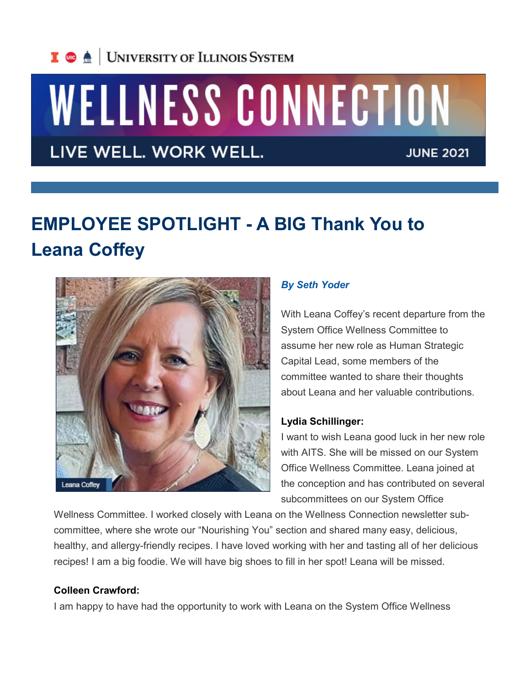

# WELLNESS CONNECTION

LIVE WELL. WORK WELL.

**JUNE 2021** 

## **EMPLOYEE SPOTLIGHT - A BIG Thank You to Leana Coffey**



### *By Seth Yoder*

With Leana Coffey's recent departure from the System Office Wellness Committee to assume her new role as Human Strategic Capital Lead, some members of the committee wanted to share their thoughts about Leana and her valuable contributions.

#### **Lydia Schillinger:**

I want to wish Leana good luck in her new role with AITS. She will be missed on our System Office Wellness Committee. Leana joined at the conception and has contributed on several subcommittees on our System Office

Wellness Committee. I worked closely with Leana on the Wellness Connection newsletter subcommittee, where she wrote our "Nourishing You" section and shared many easy, delicious, healthy, and allergy-friendly recipes. I have loved working with her and tasting all of her delicious recipes! I am a big foodie. We will have big shoes to fill in her spot! Leana will be missed.

#### **Colleen Crawford:**

I am happy to have had the opportunity to work with Leana on the System Office Wellness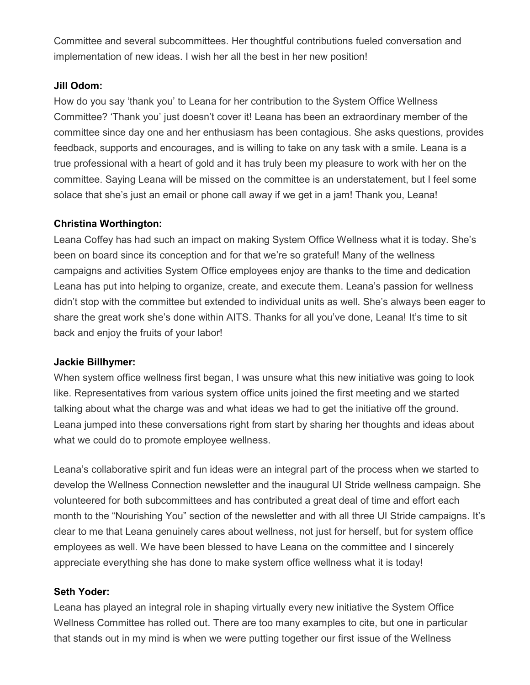Committee and several subcommittees. Her thoughtful contributions fueled conversation and implementation of new ideas. I wish her all the best in her new position!

#### **Jill Odom:**

How do you say 'thank you' to Leana for her contribution to the System Office Wellness Committee? 'Thank you' just doesn't cover it! Leana has been an extraordinary member of the committee since day one and her enthusiasm has been contagious. She asks questions, provides feedback, supports and encourages, and is willing to take on any task with a smile. Leana is a true professional with a heart of gold and it has truly been my pleasure to work with her on the committee. Saying Leana will be missed on the committee is an understatement, but I feel some solace that she's just an email or phone call away if we get in a jam! Thank you, Leana!

#### **Christina Worthington:**

Leana Coffey has had such an impact on making System Office Wellness what it is today. She's been on board since its conception and for that we're so grateful! Many of the wellness campaigns and activities System Office employees enjoy are thanks to the time and dedication Leana has put into helping to organize, create, and execute them. Leana's passion for wellness didn't stop with the committee but extended to individual units as well. She's always been eager to share the great work she's done within AITS. Thanks for all you've done, Leana! It's time to sit back and enjoy the fruits of your labor!

#### **Jackie Billhymer:**

When system office wellness first began, I was unsure what this new initiative was going to look like. Representatives from various system office units joined the first meeting and we started talking about what the charge was and what ideas we had to get the initiative off the ground. Leana jumped into these conversations right from start by sharing her thoughts and ideas about what we could do to promote employee wellness.

Leana's collaborative spirit and fun ideas were an integral part of the process when we started to develop the Wellness Connection newsletter and the inaugural UI Stride wellness campaign. She volunteered for both subcommittees and has contributed a great deal of time and effort each month to the "Nourishing You" section of the newsletter and with all three UI Stride campaigns. It's clear to me that Leana genuinely cares about wellness, not just for herself, but for system office employees as well. We have been blessed to have Leana on the committee and I sincerely appreciate everything she has done to make system office wellness what it is today!

#### **Seth Yoder:**

Leana has played an integral role in shaping virtually every new initiative the System Office Wellness Committee has rolled out. There are too many examples to cite, but one in particular that stands out in my mind is when we were putting together our first issue of the Wellness